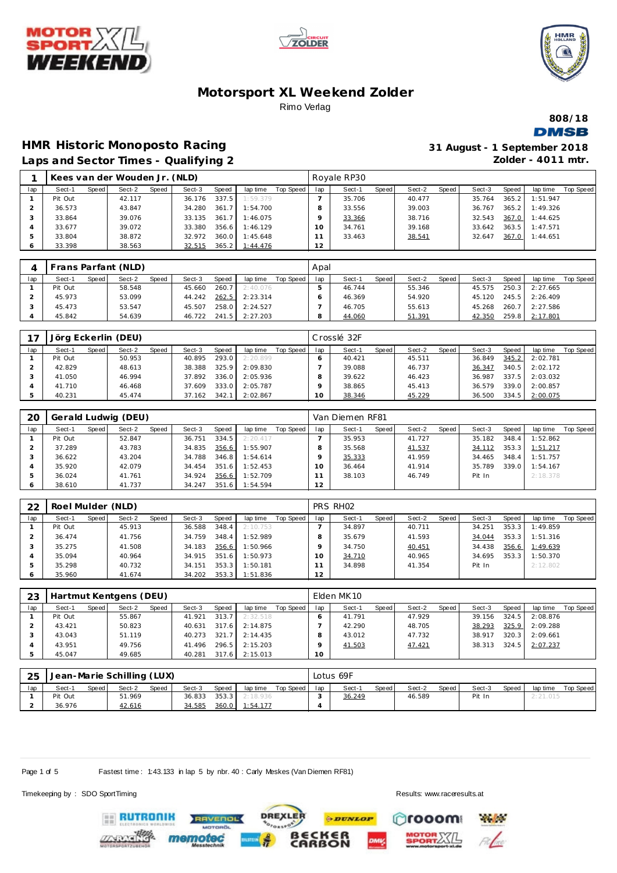





**808/18 DMSB** 

# **HMR Historic Monoposto Racing**

| 31 August - 1 September 2018 |
|------------------------------|
| Zolder - $4011$ mtr.         |

|  | Laps and Sector Times - Qualifying 2 |  |
|--|--------------------------------------|--|

|              |         |       | Kees van der Wouden Jr. (NLD) |       |        |       |                 |           |     | Royale RP30 |       |        |       |        |       |          |           |
|--------------|---------|-------|-------------------------------|-------|--------|-------|-----------------|-----------|-----|-------------|-------|--------|-------|--------|-------|----------|-----------|
| lap          | Sect-1  | Speed | Sect-2                        | Speed | Sect-3 | Speed | lap time        | Top Speed | lap | Sect-1      | Speed | Sect-2 | Speed | Sect-3 | Speed | lap time | Top Speed |
|              | Pit Out |       | 42.117                        |       | 36.176 | 337.5 | 1:59.379        |           |     | 35.706      |       | 40.477 |       | 35.764 | 365.2 | 1:51.947 |           |
|              | 36.573  |       | 43.847                        |       | 34.280 | 361.7 | 1:54.700        |           |     | 33.556      |       | 39.003 |       | 36.767 | 365.2 | 1:49.326 |           |
|              | 33.864  |       | 39.076                        |       | 33.135 | 361.7 | 1:46.075        |           |     | 33.366      |       | 38.716 |       | 32.543 | 367.0 | 1:44.625 |           |
|              | 33.677  |       | 39.072                        |       | 33.380 | 356.6 | 1:46.129        |           | 10  | 34.761      |       | 39.168 |       | 33.642 | 363.5 | 1:47.571 |           |
|              | 33.804  |       | 38.872                        |       | 32.972 | 360.0 | 1:45.648        |           |     | 33.463      |       | 38.541 |       | 32.647 | 367.0 | 1:44.651 |           |
| <sup>6</sup> | 33.398  |       | 38.563                        |       | 32.515 | 365.2 | <u>1:44.476</u> |           | 12  |             |       |        |       |        |       |          |           |

|     | Frans Parfant (NLD) |         |        |       |        |       |          |           | Apal |        |       |        |        |        |       |                |           |
|-----|---------------------|---------|--------|-------|--------|-------|----------|-----------|------|--------|-------|--------|--------|--------|-------|----------------|-----------|
| lap | Sect-1              | Speed I | Sect-2 | Speed | Sect-3 | Speed | lap time | Top Speed | lap  | Sect-1 | Speed | Sect-2 | Speed, | Sect-3 | Speed | lap time       | Top Speed |
|     | Pit Out             |         | 58.548 |       | 45.660 | 260.7 | 2:40.076 |           |      | 46.744 |       | 55.346 |        | 45.575 | 250.3 | 2:27.665       |           |
|     | 45.973              |         | 53.099 |       | 44.242 | 262.5 | 2:23.314 |           |      | 46.369 |       | 54.920 |        | 45.120 |       | 245.5 2:26.409 |           |
|     | 45.473              |         | 53.547 |       | 45.507 | 258.0 | 2:24.527 |           |      | 46.705 |       | 55.613 |        | 45.268 | 260.7 | 2:27.586       |           |
|     | 45.842              |         | 54.639 |       | 46.722 | 241.5 | 2:27.203 |           | Ω    | 44.060 |       | 51.391 |        | 42.350 | 259.8 | 2:17.801       |           |

|     |         |       | Jörg Eckerlin (DEU) |       |        |       |          |           |     | Crosslé 32F |       |        |       |        |       |          |           |
|-----|---------|-------|---------------------|-------|--------|-------|----------|-----------|-----|-------------|-------|--------|-------|--------|-------|----------|-----------|
| lap | Sect-1  | Speed | Sect-2              | Speed | Sect-3 | Speed | lap time | Top Speed | lap | Sect-1      | Speed | Sect-2 | Speed | Sect-3 | Speed | lap time | Top Speed |
|     | Pit Out |       | 50.953              |       | 40.895 | 293.0 | 2:20.899 |           |     | 40.421      |       | 45.511 |       | 36.849 | 345.2 | 2:02.781 |           |
|     | 42.829  |       | 48.613              |       | 38.388 | 325.9 | 2:09.830 |           |     | 39.088      |       | 46.737 |       | 36.347 | 340.5 | 2:02.172 |           |
|     | 41.050  |       | 46.994              |       | 37.892 | 336.0 | 2:05.936 |           |     | 39.622      |       | 46.423 |       | 36.987 | 337.5 | 2:03.032 |           |
|     | 41.710  |       | 46.468              |       | 37.609 | 333.0 | 2:05.787 |           |     | 38.865      |       | 45.413 |       | 36.579 | 339.0 | 2:00.857 |           |
|     | 40.231  |       | 45.474              |       | 37.162 | 342.1 | 2:02.867 |           | 10  | 38.346      |       | 45.229 |       | 36.500 | 334.5 | 2:00.075 |           |

| 20  |         |         | Gerald Ludwig (DEU) |       |        |       |          |           |     | Van Diemen RF81 |       |        |       |        |       |          |           |
|-----|---------|---------|---------------------|-------|--------|-------|----------|-----------|-----|-----------------|-------|--------|-------|--------|-------|----------|-----------|
| lap | Sect-1  | Speed I | Sect-2              | Speed | Sect-3 | Speed | lap time | Top Speed | lap | Sect-1          | Speed | Sect-2 | Speed | Sect-3 | Speed | lap time | Top Speed |
|     | Pit Out |         | 52.847              |       | 36.751 | 334.5 | 2:20.417 |           |     | 35.953          |       | 41.727 |       | 35.182 | 348.4 | 1:52.862 |           |
|     | 37.289  |         | 43.783              |       | 34.835 | 356.6 | 1:55.907 |           |     | 35.568          |       | 41.537 |       | 34.112 | 353.3 | 1:51.217 |           |
|     | 36.622  |         | 43.204              |       | 34.788 | 346.8 | 1:54.614 |           |     | 35.333          |       | 41.959 |       | 34.465 | 348.4 | 1:51.757 |           |
|     | 35.920  |         | 42.079              |       | 34.454 | 351.6 | 1:52.453 |           | 10  | 36.464          |       | 41.914 |       | 35.789 | 339.0 | 1:54.167 |           |
|     | 36.024  |         | 41.761              |       | 34.924 | 356.6 | 1:52.709 |           |     | 38.103          |       | 46.749 |       | Pit In |       | 2:18.378 |           |
| O   | 38.610  |         | 41.737              |       | 34.247 | 351.6 | 1:54.594 |           | 12  |                 |       |        |       |        |       |          |           |

| 22  | Roel Mulder (NLD) |       |        |       |        |       |          |           |          | PRS RHO <sub>2</sub> |       |        |       |        |       |          |           |
|-----|-------------------|-------|--------|-------|--------|-------|----------|-----------|----------|----------------------|-------|--------|-------|--------|-------|----------|-----------|
| lap | Sect-1            | Speed | Sect-2 | Speed | Sect-3 | Speed | lap time | Top Speed | lap      | Sect-1               | Speed | Sect-2 | Speed | Sect-3 | Speed | lap time | Top Speed |
|     | Pit Out           |       | 45.913 |       | 36.588 | 348.4 | 2:10.753 |           |          | 34.897               |       | 40.711 |       | 34.251 | 353.3 | 1:49.859 |           |
|     | 36.474            |       | 41.756 |       | 34.759 | 348.4 | 1:52.989 |           |          | 35.679               |       | 41.593 |       | 34.044 | 353.3 | 1:51.316 |           |
|     | 35.275            |       | 41.508 |       | 34.183 | 356.6 | 1:50.966 |           |          | 34.750               |       | 40.451 |       | 34.438 | 356.6 | 1:49.639 |           |
|     | 35.094            |       | 40.964 |       | 34.915 | 351.6 | 1:50.973 |           | $\Omega$ | 34.710               |       | 40.965 |       | 34.695 | 353.3 | 1:50.370 |           |
|     | 35.298            |       | 40.732 |       | 34.151 | 353.3 | 1:50.181 |           |          | 34.898               |       | 41.354 |       | Pit In |       | 2:12.802 |           |
| O   | 35.960            |       | 41.674 |       | 34.202 | 353.3 | 1:51.836 |           | 12       |                      |       |        |       |        |       |          |           |

| 23  |         |       | Hartmut Kentgens (DEU) |       |        |       |          |           |     | Elden MK10 |       |        |       |        |       |          |           |
|-----|---------|-------|------------------------|-------|--------|-------|----------|-----------|-----|------------|-------|--------|-------|--------|-------|----------|-----------|
| lap | Sect-1  | Speed | Sect-2                 | Speed | Sect-3 | Speed | lap time | Top Speed | lap | Sect-1     | Speed | Sect-2 | Speed | Sect-3 | Speed | lap time | Top Speed |
|     | Pit Out |       | 55.867                 |       | 41.921 | 313.7 | 2:32.518 |           |     | 41.791     |       | 47.929 |       | 39.156 | 324.5 | 2:08.876 |           |
|     | 43.421  |       | 50.823                 |       | 40.631 | 317.6 | 2:14.875 |           |     | 42.290     |       | 48.705 |       | 38.293 | 325.9 | 2:09.288 |           |
|     | 43.043  |       | 51.119                 |       | 40.273 | 321.7 | 2:14.435 |           |     | 43.012     |       | 47.732 |       | 38.917 | 320.3 | 2:09.661 |           |
|     | 43.951  |       | 49.756                 |       | 41.496 | 296.5 | 2:15.203 |           |     | 41.503     |       | 47.421 |       | 38.313 | 324.5 | 2:07.237 |           |
|     | 45.047  |       | 49.685                 |       | 40.281 | 317.6 | 2:15.013 |           | 10  |            |       |        |       |        |       |          |           |

| 25  |         |       | Jean-Marie Schilling (LUX) |              |        |         |          |           |     | Lotus 69F |       |        |       |        |              |          |           |
|-----|---------|-------|----------------------------|--------------|--------|---------|----------|-----------|-----|-----------|-------|--------|-------|--------|--------------|----------|-----------|
| lap | Sect-1  | Speed | Sect-2                     | <b>Speed</b> | Sect-3 | Speed   | lap time | Top Speed | lap | Sect-1    | Speed | Sect-2 | Speed | Sect-3 | <b>Speed</b> | lap time | Top Speed |
|     | Pit Out |       | 51.969                     |              | 36.833 | $353.3$ | 2:18.936 |           |     | 36.249    |       | 46.589 |       | Pit In |              | 2:21.015 |           |
|     | 36.976  |       | 42.616                     |              | 34.585 | 360.0   | 1:54.177 |           |     |           |       |        |       |        |              |          |           |

**DREXLER** 

 $\cdot$  of

**PDUNLOP** 

**BECKER**<br>CARBON

Page 1 of 5 Fastest time : 1:43.133 in lap 5 by nbr. 40 : Carly Meskes (Van Diemen RF81)

RAVENOL

Timekeeping by : SDO SportTiming Results:<www.raceresults.at>

rooom

**Refere** 

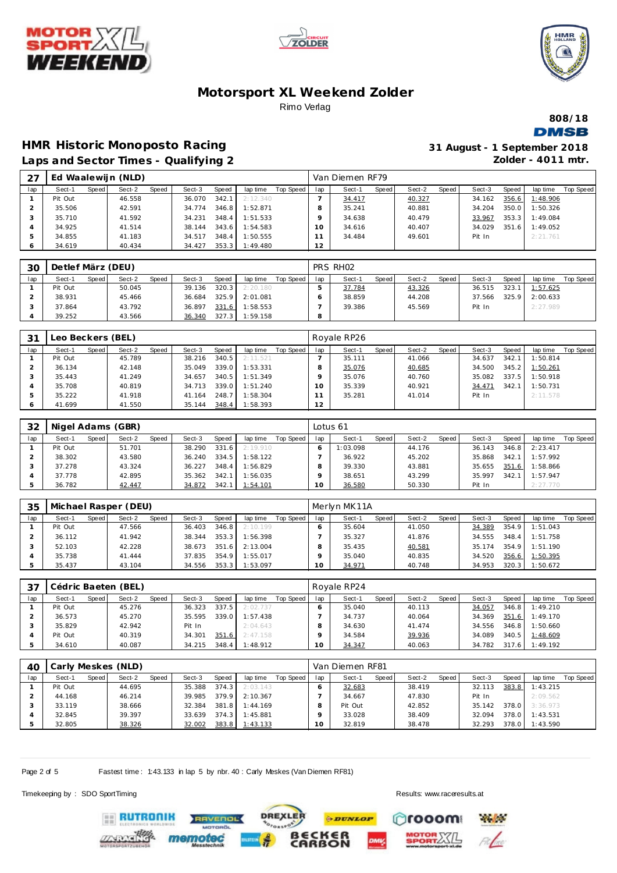





**808/18 DMSB** 

# **HMR Historic Monoposto Racing**

| 31 August - 1 September 2018 |                      |  |  |
|------------------------------|----------------------|--|--|
|                              | Zolder - $4011$ mtr. |  |  |

|  |  | Laps and Sector Times - Qualifying 2 |  |
|--|--|--------------------------------------|--|
|  |  |                                      |  |

| 27  |         |       | Ed Waalewijn (NLD) |       |        |       |          |           |     | Van Diemen RF79 |       |        |       |        |       |          |                  |
|-----|---------|-------|--------------------|-------|--------|-------|----------|-----------|-----|-----------------|-------|--------|-------|--------|-------|----------|------------------|
| lap | Sect-1  | Speed | Sect-2             | Speed | Sect-3 | Speed | lap time | Top Speed | lap | Sect-1          | Speed | Sect-2 | Speed | Sect-3 | Speed | lap time | <b>Top Speed</b> |
|     | Pit Out |       | 46.558             |       | 36.070 | 342.1 | 2:12.340 |           |     | 34.417          |       | 40.327 |       | 34.162 | 356.6 | 1:48.906 |                  |
|     | 35.506  |       | 42.591             |       | 34.774 | 346.8 | 1:52.871 |           | 8   | 35.241          |       | 40.881 |       | 34.204 | 350.0 | 1:50.326 |                  |
|     | 35.710  |       | 41.592             |       | 34.231 | 348.4 | 1:51.533 |           | o   | 34.638          |       | 40.479 |       | 33.967 | 353.3 | 1:49.084 |                  |
|     | 34.925  |       | 41.514             |       | 38.144 | 343.6 | 1:54.583 |           | 0   | 34.616          |       | 40.407 |       | 34.029 | 351.6 | 1:49.052 |                  |
|     | 34.855  |       | 41.183             |       | 34.517 | 348.4 | 1:50.555 |           |     | 34.484          |       | 49.601 |       | Pit In |       | 2:21.761 |                  |
|     | 34.619  |       | 40.434             |       | 34.427 | 353.3 | 1:49.480 |           | 12  |                 |       |        |       |        |       |          |                  |

| 30  | Detlef März (DEU) |         |        |              |        |       |          |           |     | PRS RHO <sub>2</sub> |       |        |       |        |       |          |           |
|-----|-------------------|---------|--------|--------------|--------|-------|----------|-----------|-----|----------------------|-------|--------|-------|--------|-------|----------|-----------|
| lap | Sect-1            | Speed I | Sect-2 | <b>Speed</b> | Sect-3 | Speed | lap time | Top Speed | lap | Sect-1               | Speed | Sect-2 | Speed | Sect-3 | Speed | lap time | Top Speed |
|     | Pit Out           |         | 50.045 |              | 39.136 | 320.3 | 2:20.180 |           |     | 37.784               |       | 43.326 |       | 36.515 | 323.1 | 1:57.625 |           |
|     | 38.931            |         | 45.466 |              | 36.684 | 325.9 | 2:01.081 |           |     | 38.859               |       | 44.208 |       | 37.566 | 325.9 | 2:00.633 |           |
|     | 37.864            |         | 43.792 |              | 36.897 | 331.6 | 1:58.553 |           |     | 39.386               |       | 45.569 |       | Pit In |       | 2:27.989 |           |
|     | 39.252            |         | 43.566 |              | 36.340 | 327.3 | 1:59.158 |           |     |                      |       |        |       |        |       |          |           |

| 31  | Leo Beckers (BEL) |       |        |       |        |       |          |           |     | l Royale RP26 |       |        |       |        |       |          |           |
|-----|-------------------|-------|--------|-------|--------|-------|----------|-----------|-----|---------------|-------|--------|-------|--------|-------|----------|-----------|
| lap | Sect-1            | Speed | Sect-2 | Speed | Sect-3 | Speed | lap time | Top Speed | lap | Sect-1        | Speed | Sect-2 | Speed | Sect-3 | Speed | lap time | Top Speed |
|     | Pit Out           |       | 45.789 |       | 38.216 | 340.5 | 2:11.521 |           |     | 35.111        |       | 41.066 |       | 34.637 | 342.1 | 1:50.814 |           |
|     | 36.134            |       | 42.148 |       | 35.049 | 339.0 | 1:53.331 |           |     | 35.076        |       | 40.685 |       | 34.500 | 345.2 | 1:50.261 |           |
|     | 35.443            |       | 41.249 |       | 34.657 | 340.5 | 1:51.349 |           |     | 35.076        |       | 40.760 |       | 35.082 | 337.5 | 1:50.918 |           |
|     | 35.708            |       | 40.819 |       | 34.713 | 339.0 | 1:51.240 |           |     | 35.339        |       | 40.921 |       | 34.471 | 342.1 | 1:50.731 |           |
|     | 35.222            |       | 41.918 |       | 41.164 | 248.7 | 1:58.304 |           |     | 35.281        |       | 41.014 |       | Pit In |       | 2:11.578 |           |
|     | 41.699            |       | 41.550 |       | 35.144 | 348.4 | 1:58.393 |           | 12  |               |       |        |       |        |       |          |           |

| 32  |         |       | Nigel Adams (GBR) |       |        |              |          |           | Lotus 61 |          |       |        |       |        |       |          |           |
|-----|---------|-------|-------------------|-------|--------|--------------|----------|-----------|----------|----------|-------|--------|-------|--------|-------|----------|-----------|
| lap | Sect-1  | Speed | Sect-2            | Speed | Sect-3 | <b>Speed</b> | lap time | Top Speed | lap      | Sect-1   | Speed | Sect-2 | Speed | Sect-3 | Speed | lap time | Top Speed |
|     | Pit Out |       | 51.701            |       | 38.290 | 331.6        | 2:19.910 |           |          | 1:03.098 |       | 44.176 |       | 36.143 | 346.8 | 2:23.417 |           |
|     | 38.302  |       | 43.580            |       | 36.240 | 334.5        | 1:58.122 |           |          | 36.922   |       | 45.202 |       | 35.868 | 342.7 | 1:57.992 |           |
|     | 37.278  |       | 43.324            |       | 36.227 | 348.4        | 1:56.829 |           |          | 39.330   |       | 43.881 |       | 35.655 | 351.6 | 1:58.866 |           |
|     | 37.778  |       | 42.895            |       | 35.362 | 342.1        | 1:56.035 |           |          | 38.651   |       | 43.299 |       | 35.997 | 342.7 | 1:57.947 |           |
|     | 36.782  |       | 42.447            |       | 34.872 | 342.1        | 1:54.101 |           | ◡        | 36.580   |       | 50.330 |       | Pit In |       | 2:27.770 |           |

| 35  |         |       | Michael Rasper (DEU) |       |        |       |          |           |     | Merlyn MK11A |       |        |       |        |       |          |           |
|-----|---------|-------|----------------------|-------|--------|-------|----------|-----------|-----|--------------|-------|--------|-------|--------|-------|----------|-----------|
| lap | Sect-1  | Speed | Sect-2               | Speed | Sect-3 | Speed | lap time | Top Speed | lap | Sect-1       | Speed | Sect-2 | Speed | Sect-3 | Speed | lap time | Top Speed |
|     | Pit Out |       | 47.566               |       | 36.403 | 346.8 | 2:10.199 |           |     | 35.604       |       | 41.050 |       | 34.389 | 354.9 | 1:51.043 |           |
|     | 36.112  |       | 41.942               |       | 38.344 | 353.3 | 1:56.398 |           |     | 35.327       |       | 41.876 |       | 34.555 | 348.4 | 1:51.758 |           |
|     | 52.103  |       | 42.228               |       | 38.673 | 351.6 | 2:13.004 |           |     | 35.435       |       | 40.581 |       | 35.174 | 354.9 | 1:51.190 |           |
|     | 35.738  |       | 41.444               |       | 37.835 | 354.9 | 1:55.017 |           |     | 35.040       |       | 40.835 |       | 34.520 | 356.6 | 1:50.395 |           |
|     | 35.437  |       | 43.104               |       | 34.556 | 353.3 | 1:53.097 |           | Ω   | 34.971       |       | 40.748 |       | 34.953 | 320.3 | 1:50.672 |           |

| 37  |         |       | Cédric Baeten (BEL) |       |        |       |          |           |                 | Royale RP24 |       |        |       |        |       |          |           |
|-----|---------|-------|---------------------|-------|--------|-------|----------|-----------|-----------------|-------------|-------|--------|-------|--------|-------|----------|-----------|
| lap | Sect-1  | Speed | Sect-2              | Speed | Sect-3 | Speed | lap time | Top Speed | lap             | Sect-1      | Speed | Sect-2 | Speed | Sect-3 | Speed | lap time | Top Speed |
|     | Pit Out |       | 45.276              |       | 36.323 | 337.5 | 2:02.737 |           |                 | 35.040      |       | 40.113 |       | 34.057 | 346.8 | 1:49.210 |           |
|     | 36.573  |       | 45.270              |       | 35.595 | 339.0 | 1:57.438 |           |                 | 34.737      |       | 40.064 |       | 34.369 | 351.6 | 1:49.170 |           |
|     | 35.829  |       | 42.942              |       | Pit In |       | 2:04.643 |           |                 | 34.630      |       | 41.474 |       | 34.556 | 346.8 | 1:50.660 |           |
|     | Pit Out |       | 40.319              |       | 34.301 | 351.6 | 2:47.158 |           |                 | 34.584      |       | 39.936 |       | 34.089 | 340.5 | 1:48.609 |           |
|     | 34.610  |       | 40.087              |       | 34.215 | 348.4 | 1:48.912 |           | 10 <sup>°</sup> | 34.347      |       | 40.063 |       | 34.782 | 317.6 | 1:49.192 |           |

| 40  |         |       | Carly Meskes (NLD) |       |        |       |          |           |     | Van Diemen RF81 |       |        |       |        |       |          |           |
|-----|---------|-------|--------------------|-------|--------|-------|----------|-----------|-----|-----------------|-------|--------|-------|--------|-------|----------|-----------|
| lap | Sect-1  | Speed | Sect-2             | Speed | Sect-3 | Speed | lap time | Top Speed | lap | Sect-1          | Speed | Sect-2 | Speed | Sect-3 | Speed | lap time | Top Speed |
|     | Pit Out |       | 44.695             |       | 35.388 | 374.3 | 2:03.143 |           |     | 32.683          |       | 38.419 |       | 32.113 | 383.8 | 1:43.215 |           |
|     | 44.168  |       | 46.214             |       | 39.985 | 379.9 | 2:10.367 |           |     | 34.667          |       | 47.830 |       | Pit In |       | 2:09.562 |           |
|     | 33.119  |       | 38.666             |       | 32.384 | 381.8 | 1:44.169 |           |     | Pit Out         |       | 42.852 |       | 35.142 | 378.0 | 3:36.973 |           |
|     | 32.845  |       | 39.397             |       | 33.639 | 374.3 | 1:45.881 |           |     | 33.028          |       | 38.409 |       | 32.094 | 378.0 | 1:43.531 |           |
|     | 32.805  |       | 38.326             |       | 32.002 | 383.8 | 1:43.133 |           | 10  | 32.819          |       | 38.478 |       | 32.293 | 378.0 | 1:43.590 |           |

**PDUNLOP** 

**DREXLER** 

 $\cdot$   $\circ$ <sup>\*</sup>

**BECKER**<br>CARBON

Page 2 of 5 Fastest time : 1:43.133 in lap 5 by nbr. 40 : Carly Meskes (Van Diemen RF81)

RAVENOL

Timekeeping by : SDO SportTiming Results:<www.raceresults.at>

rooom

**Physical** 

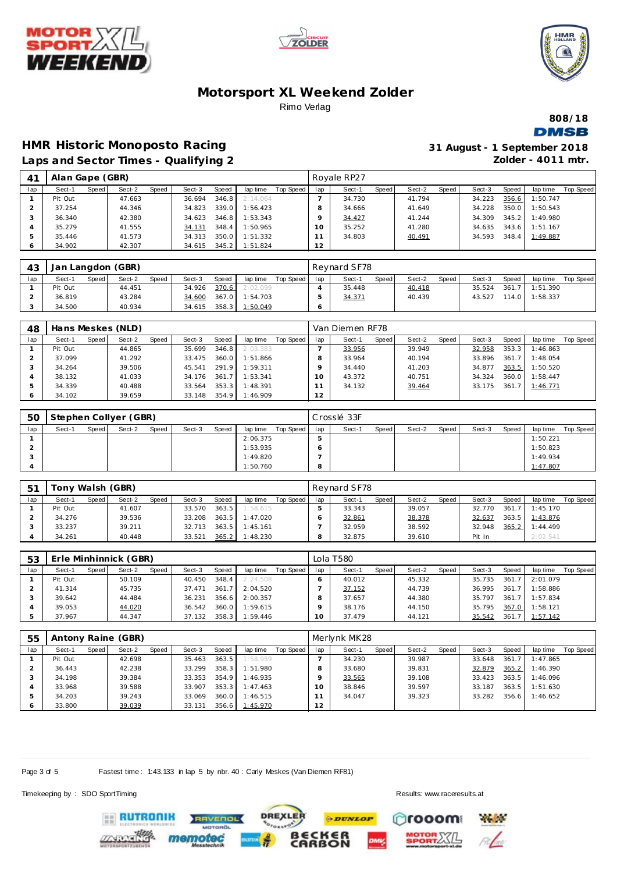





**808/18 DMSB** 

#### **HMR Historic Monoposto Racing Laps and Sector Times - Qualifying 2**

| 31 August - 1 September 2018 |                      |  |  |
|------------------------------|----------------------|--|--|
|                              | Zolder - $4011$ mtr. |  |  |

|     | $\frac{1}{2}$ and $\frac{1}{2}$ and $\frac{1}{2}$ and $\frac{1}{2}$ and $\frac{1}{2}$ and $\frac{1}{2}$ |       |        |       |        |       |                |           |     |             |       |        |       |        |       |          |                  |
|-----|---------------------------------------------------------------------------------------------------------|-------|--------|-------|--------|-------|----------------|-----------|-----|-------------|-------|--------|-------|--------|-------|----------|------------------|
| 41  | Alan Gape (GBR)                                                                                         |       |        |       |        |       |                |           |     | Royale RP27 |       |        |       |        |       |          |                  |
| lap | Sect-1                                                                                                  | Speed | Sect-2 | Speed | Sect-3 | Speed | lap time       | Top Speed | lap | Sect-1      | Speed | Sect-2 | Speed | Sect-3 | Speed | lap time | <b>Top Speed</b> |
|     | Pit Out                                                                                                 |       | 47.663 |       | 36.694 | 346.8 | 2:14.064       |           |     | 34.730      |       | 41.794 |       | 34.223 | 356.6 | 1:50.747 |                  |
|     | 37.254                                                                                                  |       | 44.346 |       | 34.823 | 339.0 | 1:56.423       |           | 8   | 34.666      |       | 41.649 |       | 34.228 | 350.0 | 1:50.543 |                  |
|     | 36.340                                                                                                  |       | 42.380 |       | 34.623 | 346.8 | 1:53.343       |           | Q   | 34.427      |       | 41.244 |       | 34.309 | 345.2 | 1:49.980 |                  |
| 4   | 35.279                                                                                                  |       | 41.555 |       | 34.131 | 348.4 | 1:50.965       |           | 10  | 35.252      |       | 41.280 |       | 34.635 | 343.6 | 1:51.167 |                  |
| 5.  | 35.446                                                                                                  |       | 41.573 |       | 34.313 | 350.0 | 1:51.332       |           |     | 34.803      |       | 40.491 |       | 34.593 | 348.4 | 1:49.887 |                  |
| 6.  | 34.902                                                                                                  |       | 42.307 |       | 34.615 |       | 345.2 1:51.824 |           | 12  |             |       |        |       |        |       |          |                  |

| 43  | Jan Langdon (GBR) |       |        |       |        |       |          |           |     | Revnard SF78 |       |        |       |        |       |                |           |
|-----|-------------------|-------|--------|-------|--------|-------|----------|-----------|-----|--------------|-------|--------|-------|--------|-------|----------------|-----------|
| lap | Sect-1            | Speed | Sect-2 | Speed | Sect-3 | Speed | lap time | Top Speed | lap | Sect-1       | Speed | Sect-2 | Speed | Sect-3 | Speed | lap time       | Top Speed |
|     | Pit Out           |       | 44.451 |       | 34.926 | 370.6 | 2:02.099 |           |     | 35.448       |       | 40.418 |       | 35.524 |       | 361.7 1:51.390 |           |
|     | 36.819            |       | 43.284 |       | 34.600 | 367.0 | 1:54.703 |           |     | 34.371       |       | 40.439 |       | 43.527 | 114.0 | 1:58.337       |           |
|     | 34.500            |       | 40.934 |       | 34.615 | 358.3 | 1:50.049 |           |     |              |       |        |       |        |       |                |           |

| 48  |         |         | Hans Meskes (NLD) |       |        |                       |          |           |     | Van Diemen RF78 |       |        |       |        |       |          |           |
|-----|---------|---------|-------------------|-------|--------|-----------------------|----------|-----------|-----|-----------------|-------|--------|-------|--------|-------|----------|-----------|
| lap | Sect-1  | Speed I | Sect-2            | Speed | Sect-3 | Speed                 | lap time | Top Speed | lap | Sect-1          | Speed | Sect-2 | Speed | Sect-3 | Speed | lap time | Top Speed |
|     | Pit Out |         | 44.865            |       | 35.699 | 346.8                 | 2:03.383 |           |     | 33.956          |       | 39.949 |       | 32.958 | 353.3 | 1:46.863 |           |
|     | 37.099  |         | 41.292            |       | 33.475 | 360.0                 | 1:51.866 |           |     | 33.964          |       | 40.194 |       | 33.896 | 361.7 | 1:48.054 |           |
|     | 34.264  |         | 39.506            |       | 45.541 | 291.9                 | 1:59.311 |           |     | 34.440          |       | 41.203 |       | 34.877 | 363.5 | 1:50.520 |           |
|     | 38.132  |         | 41.033            |       | 34.176 | 361<br>$\overline{7}$ | 1:53.341 |           |     | 43.372          |       | 40.751 |       | 34.324 | 360.0 | 1:58.447 |           |
|     | 34.339  |         | 40.488            |       | 33.564 | 353.3                 | 1:48.391 |           |     | 34.132          |       | 39.464 |       | 33.175 | 361.7 | 1:46.771 |           |
|     | 34.102  |         | 39.659            |       | 33.148 | 354.9                 | 1:46.909 |           | 12  |                 |       |        |       |        |       |          |           |

| 50  |        |         | Stephen Collyer (GBR) |       |        |       |          |           |     | Crosslé 33F |       |        |       |        |       |          |           |
|-----|--------|---------|-----------------------|-------|--------|-------|----------|-----------|-----|-------------|-------|--------|-------|--------|-------|----------|-----------|
| lap | Sect-1 | Speed I | Sect-2                | Speed | Sect-3 | Speed | lap time | Top Speed | lap | Sect-1      | Speed | Sect-2 | Speed | Sect-3 | Speed | lap time | Top Speed |
|     |        |         |                       |       |        |       | 2:06.375 |           |     |             |       |        |       |        |       | 1:50.221 |           |
|     |        |         |                       |       |        |       | 1:53.935 |           |     |             |       |        |       |        |       | 1:50.823 |           |
|     |        |         |                       |       |        |       | 1:49.820 |           |     |             |       |        |       |        |       | 1:49.934 |           |
|     |        |         |                       |       |        |       | 1:50.760 |           |     |             |       |        |       |        |       | 1:47.807 |           |

| $-5^{\circ}$ | Tony Walsh (GBR) |       |        |       |        |       |          |           |     | Revnard SF78 |       |        |         |        |       |                |           |
|--------------|------------------|-------|--------|-------|--------|-------|----------|-----------|-----|--------------|-------|--------|---------|--------|-------|----------------|-----------|
| lap          | Sect-1           | Speed | Sect-2 | Speed | Sect-3 | Speed | lap time | Top Speed | lap | Sect-1       | Speed | Sect-2 | Speed i | Sect-3 | Speed | lap time       | Top Speed |
|              | Pit Out          |       | 41.607 |       | 33.570 | 363.5 | 1:58.615 |           |     | 33.343       |       | 39.057 |         | 32.770 | 361.7 | 1:45.170       |           |
|              | 34.276           |       | 39.536 |       | 33.208 | 363.5 | 1:47.020 |           |     | 32.861       |       | 38.378 |         | 32.637 |       | 363.5 1:43.876 |           |
|              | 33.237           |       | 39.211 |       | 32.713 | 363.5 | 1:45.161 |           |     | 32.959       |       | 38.592 |         | 32.948 | 365.2 | 1:44.499       |           |
|              | 34.261           |       | 40.448 |       | 33.521 | 365.2 | 1:48.230 |           | 8   | 32.875       |       | 39.610 |         | Pit In |       | 2:02.541       |           |

| 53  |         |       | Erle Minhinnick (GBR) |       |        |       |          |           |        | Lola T580 |       |        |       |        |       |          |           |
|-----|---------|-------|-----------------------|-------|--------|-------|----------|-----------|--------|-----------|-------|--------|-------|--------|-------|----------|-----------|
| lap | Sect-1  | Speed | Sect-2                | Speed | Sect-3 | Speed | lap time | Top Speed | lap    | Sect-1    | Speed | Sect-2 | Speed | Sect-3 | Speed | lap time | Top Speed |
|     | Pit Out |       | 50.109                |       | 40.450 | 348.4 | 2:24.508 |           |        | 40.012    |       | 45.332 |       | 35.735 | 361.7 | 2:01.079 |           |
|     | 41.314  |       | 45.735                |       | 37.471 | 361.7 | 2:04.520 |           |        | 37.152    |       | 44.739 |       | 36.995 | 361.7 | 1:58.886 |           |
|     | 39.642  |       | 44.484                |       | 36.231 | 356.6 | 2:00.357 |           |        | 37.657    |       | 44.380 |       | 35.797 | 361.7 | 1:57.834 |           |
|     | 39.053  |       | 44.020                |       | 36.542 | 360.0 | 1:59.615 |           |        | 38.176    |       | 44.150 |       | 35.795 | 367.0 | 1:58.121 |           |
|     | 37.967  |       | 44.347                |       | 37.132 | 358.3 | 1:59.446 |           | $10-1$ | 37.479    |       | 44.121 |       | 35.542 | 361.7 | 1:57.142 |           |

| 55  |         |       | Antony Raine (GBR) |       |        |       |          |           |     | Merlynk MK28 |       |        |       |        |       |          |           |
|-----|---------|-------|--------------------|-------|--------|-------|----------|-----------|-----|--------------|-------|--------|-------|--------|-------|----------|-----------|
| lap | Sect-1  | Speed | Sect-2             | Speed | Sect-3 | Speed | lap time | Top Speed | lap | Sect-1       | Speed | Sect-2 | Speed | Sect-3 | Speed | lap time | Top Speed |
|     | Pit Out |       | 42.698             |       | 35.463 | 363.5 | 1:58.959 |           |     | 34.230       |       | 39.987 |       | 33.648 | 361.7 | 1:47.865 |           |
|     | 36.443  |       | 42.238             |       | 33.299 | 358.3 | 1:51.980 |           |     | 33.680       |       | 39.831 |       | 32.879 | 365.2 | 1:46.390 |           |
|     | 34.198  |       | 39.384             |       | 33.353 | 354.9 | 1:46.935 |           |     | 33.565       |       | 39.108 |       | 33.423 | 363.5 | 1:46.096 |           |
|     | 33.968  |       | 39.588             |       | 33.907 | 353.3 | 1:47.463 |           |     | 38.846       |       | 39.597 |       | 33.187 | 363.5 | 1:51.630 |           |
|     | 34.203  |       | 39.243             |       | 33.069 | 360.0 | 1:46.515 |           |     | 34.047       |       | 39.323 |       | 33.282 | 356.6 | 1:46.652 |           |
|     | 33.800  |       | 39.039             |       | 33.131 | 356.6 | 1:45.970 |           | 12  |              |       |        |       |        |       |          |           |

**DREXLER** 

 $\cdot e^{i}$ 

**BECKER**<br>CARBON

Page 3 of 5 Fastest time : 1:43.133 in lap 5 by nbr. 40 : Carly Meskes (Van Diemen RF81)

**AVENOL** 

men

Timekeeping by : SDO SportTiming Results:<www.raceresults.at>

**ERUTRONIK** 

**PDUNLOP** rooom



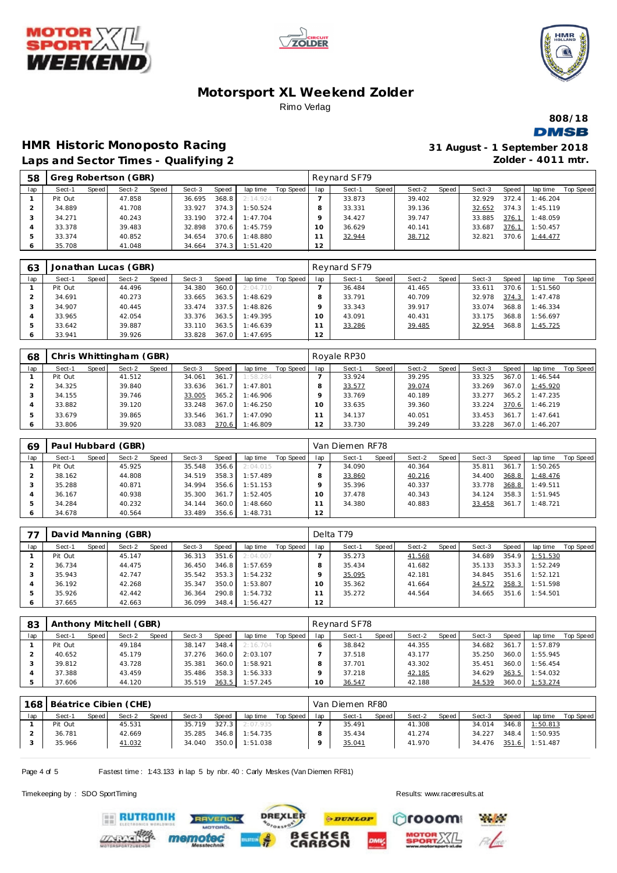





**808/18 DMSB** 

#### **HMR Historic Monoposto Racing**<br>**Jans and Secter Times - Qualifying 2 Laps and Sector Times - Qualifying 2**

35.708 41.048 34.664 374.3 1:51.420 **12**

| 31 August - 1 September 2018 |
|------------------------------|
| Zolder - $4011$ mtr.         |

|     |         |       |                      |       | Laps and Sector Times - Qualifying 2 |       |          |           |          |              |       |        |       |        |       | Zolder - 40 FF mtr. |                  |
|-----|---------|-------|----------------------|-------|--------------------------------------|-------|----------|-----------|----------|--------------|-------|--------|-------|--------|-------|---------------------|------------------|
| 58  |         |       | Greg Robertson (GBR) |       |                                      |       |          |           |          | Reynard SF79 |       |        |       |        |       |                     |                  |
| lap | Sect-1  | Speed | Sect-2               | Speed | Sect-3                               | Speed | lap time | Top Speed | lap      | Sect-1       | Speed | Sect-2 | Speed | Sect-3 | Speed | lap time            | <b>Top Speed</b> |
|     | Pit Out |       | 47.858               |       | 36.695                               | 368.8 | 2:14.924 |           |          | 33.873       |       | 39.402 |       | 32.929 | 372.4 | 1:46.204            |                  |
|     | 34.889  |       | 41.708               |       | 33.927                               | 374.3 | 1:50.524 |           |          | 33.331       |       | 39.136 |       | 32.652 | 374.3 | 1:45.119            |                  |
| 3   | 34.271  |       | 40.243               |       | 33.190                               | 372.4 | 1:47.704 |           |          | 34.427       |       | 39.747 |       | 33.885 | 376.1 | 1:48.059            |                  |
|     | 33.378  |       | 39.483               |       | 32.898                               | 370.6 | 1:45.759 |           | $10^{-}$ | 36.629       |       | 40.141 |       | 33.687 | 376.1 | 1:50.457            |                  |
| 5   | 33.374  |       | 40.852               |       | 34.654                               | 370.6 | 1:48.880 |           |          | 32.944       |       | 38.712 |       | 32.821 | 370.6 | 1:44.477            |                  |
|     |         |       |                      |       |                                      |       |          |           |          |              |       |        |       |        |       |                     |                  |

| 63  |         |         | Jonathan Lucas (GBR) |       |        |       |                |           |     | Reynard SF79 |         |        |       |        |       |          |           |
|-----|---------|---------|----------------------|-------|--------|-------|----------------|-----------|-----|--------------|---------|--------|-------|--------|-------|----------|-----------|
| lap | Sect-1  | Speed I | Sect-2               | Speed | Sect-3 | Speed | lap time       | Top Speed | lap | Sect-1       | Speed I | Sect-2 | Speed | Sect-3 | Speed | lap time | Top Speed |
|     | Pit Out |         | 44.496               |       | 34.380 | 360.0 | 2:04.710       |           |     | 36.484       |         | 41.465 |       | 33.611 | 370.6 | 1:51.560 |           |
|     | 34.691  |         | 40.273               |       | 33.665 | 363.5 | 1:48.629       |           |     | 33.791       |         | 40.709 |       | 32.978 | 374.3 | 1:47.478 |           |
|     | 34.907  |         | 40.445               |       | 33.474 | 337.5 | 1:48.826       |           |     | 33.343       |         | 39.917 |       | 33.074 | 368.8 | 1:46.334 |           |
|     | 33.965  |         | 42.054               |       | 33.376 | 363.5 | 1:49.395       |           |     | 43.091       |         | 40.431 |       | 33.175 | 368.8 | 1:56.697 |           |
|     | 33.642  |         | 39.887               |       | 33.110 | 363.5 | 1:46.639       |           |     | 33.286       |         | 39.485 |       | 32.954 | 368.8 | 1:45.725 |           |
|     | 33.941  |         | 39.926               |       | 33.828 |       | 367.0 1:47.695 |           | 12  |              |         |        |       |        |       |          |           |

| 68      |         |       | Chris Whittingham (GBR) |       |        |                       |          |           |     | Royale RP30 |       |        |       |        |       |          |           |
|---------|---------|-------|-------------------------|-------|--------|-----------------------|----------|-----------|-----|-------------|-------|--------|-------|--------|-------|----------|-----------|
| lap     | Sect-1  | Speed | Sect-2                  | Speed | Sect-3 | Speed                 | lap time | Top Speed | lap | Sect-1      | Speed | Sect-2 | Speed | Sect-3 | Speed | lap time | Top Speed |
|         | Pit Out |       | 41.512                  |       | 34.061 | 361.7                 | 1:58.284 |           |     | 33.924      |       | 39.295 |       | 33.325 | 367.0 | 1:46.544 |           |
|         | 34.325  |       | 39.840                  |       | 33.636 | 361.7                 | 1:47.801 |           |     | 33.577      |       | 39.074 |       | 33.269 | 367.0 | 1:45.920 |           |
|         | 34.155  |       | 39.746                  |       | 33.005 | 365.2                 | 1:46.906 |           |     | 33.769      |       | 40.189 |       | 33.277 | 365.2 | 1:47.235 |           |
|         | 33.882  |       | 39.120                  |       | 33.248 | 367.0                 | 1:46.250 |           |     | 33.635      |       | 39.360 |       | 33.224 | 370.6 | 1:46.219 |           |
|         | 33.679  |       | 39.865                  |       | 33.546 | 361<br>7 <sup>1</sup> | 1:47.090 |           |     | 34.137      |       | 40.051 |       | 33.453 | 361.7 | 1:47.641 |           |
| $\circ$ | 33.806  |       | 39.920                  |       | 33.083 | 370.6                 | 1:46.809 |           |     | 33.730      |       | 39.249 |       | 33.228 | 367.0 | 1:46.207 |           |

| 69  |         |       | Paul Hubbard (GBR) |       |        |       |          |           |     | Van Diemen RF78 |       |        |       |        |       |          |           |
|-----|---------|-------|--------------------|-------|--------|-------|----------|-----------|-----|-----------------|-------|--------|-------|--------|-------|----------|-----------|
| lap | Sect-1  | Speed | Sect-2             | Speed | Sect-3 | Speed | lap time | Top Speed | lap | Sect-1          | Speed | Sect-2 | Speed | Sect-3 | Speed | lap time | Top Speed |
|     | Pit Out |       | 45.925             |       | 35.548 | 356.6 | 2:04.015 |           |     | 34.090          |       | 40.364 |       | 35.811 | 361   | 1:50.265 |           |
|     | 38.162  |       | 44.808             |       | 34.519 | 358.3 | 1:57.489 |           |     | 33.860          |       | 40.216 |       | 34.400 | 368.8 | 1:48.476 |           |
|     | 35.288  |       | 40.871             |       | 34.994 | 356.6 | 1:51.153 |           |     | 35.396          |       | 40.337 |       | 33.778 | 368.8 | 1:49.511 |           |
|     | 36.167  |       | 40.938             |       | 35.300 | 361.7 | 1:52.405 |           | Ω   | 37.478          |       | 40.343 |       | 34.124 | 358.3 | 1:51.945 |           |
|     | 34.284  |       | 40.232             |       | 34.144 | 360.0 | 1:48.660 |           |     | 34.380          |       | 40.883 |       | 33.458 | 361.7 | 1:48.721 |           |
| O   | 34.678  |       | 40.564             |       | 33.489 | 356.6 | 1:48.731 |           | 12  |                 |       |        |       |        |       |          |           |

| 77  |         |       | David Manning (GBR) |       |        |       |          |           |     | Delta T79 |       |        |       |        |       |          |           |
|-----|---------|-------|---------------------|-------|--------|-------|----------|-----------|-----|-----------|-------|--------|-------|--------|-------|----------|-----------|
| lap | Sect-1  | Speed | Sect-2              | Speed | Sect-3 | Speed | lap time | Top Speed | lap | Sect-1    | Speed | Sect-2 | Speed | Sect-3 | Speed | lap time | Top Speed |
|     | Pit Out |       | 45.147              |       | 36.313 | 351.6 | 2:04.007 |           |     | 35.273    |       | 41.568 |       | 34.689 | 354.9 | 1:51.530 |           |
|     | 36.734  |       | 44.475              |       | 36.450 | 346.8 | 1:57.659 |           |     | 35.434    |       | 41.682 |       | 35.133 | 353.3 | 1:52.249 |           |
|     | 35.943  |       | 42.747              |       | 35.542 | 353.3 | 1:54.232 |           |     | 35.095    |       | 42.181 |       | 34.845 | 351.6 | 1:52.121 |           |
|     | 36.192  |       | 42.268              |       | 35.347 | 350.0 | 1:53.807 |           |     | 35.362    |       | 41.664 |       | 34.572 | 358.3 | 1:51.598 |           |
|     | 35.926  |       | 42.442              |       | 36.364 | 290.8 | 1:54.732 |           |     | 35.272    |       | 44.564 |       | 34.665 | 351.6 | 1:54.501 |           |
| O   | 37.665  |       | 42.663              |       | 36.099 | 348.4 | 1:56.427 |           | 12  |           |       |        |       |        |       |          |           |

| 83  |         |       | Anthony Mitchell (GBR) |       |        |       |          |           |                 | Reynard SF78 |       |        |       |        |       |          |           |
|-----|---------|-------|------------------------|-------|--------|-------|----------|-----------|-----------------|--------------|-------|--------|-------|--------|-------|----------|-----------|
| lap | Sect-1  | Speed | Sect-2                 | Speed | Sect-3 | Speed | lap time | Top Speed | lap             | Sect-1       | Speed | Sect-2 | Speed | Sect-3 | Speed | lap time | Top Speed |
|     | Pit Out |       | 49.184                 |       | 38.147 | 348.4 | 2:16.704 |           |                 | 38.842       |       | 44.355 |       | 34.682 | 361.7 | 1:57.879 |           |
|     | 40.652  |       | 45.179                 |       | 37.276 | 360.0 | 2:03.107 |           |                 | 37.518       |       | 43.177 |       | 35.250 | 360.0 | 1:55.945 |           |
|     | 39.812  |       | 43.728                 |       | 35.381 | 360.0 | 1:58.921 |           |                 | 37.701       |       | 43.302 |       | 35.451 | 360.0 | 1:56.454 |           |
|     | 37.388  |       | 43.459                 |       | 35.486 | 358.3 | 1:56.333 |           |                 | 37.218       |       | 42.185 |       | 34.629 | 363.5 | 1:54.032 |           |
|     | 37.606  |       | 44.120                 |       | 35.519 | 363.5 | 1:57.245 |           | 10 <sup>°</sup> | 36.547       |       | 42.188 |       | 34.539 | 360.0 | 1:53.274 |           |

|     | 168 Béatrice Cibien (CHE) |       |        |       |        |           |          |           |     | Van Diemen RF80 |         |        |       |        |       |                |           |
|-----|---------------------------|-------|--------|-------|--------|-----------|----------|-----------|-----|-----------------|---------|--------|-------|--------|-------|----------------|-----------|
| lap | Sect-1                    | Speed | Sect-2 | Speed | Sect-3 | Speed.    | lap time | Top Speed | lap | Sect-1          | Speed ! | Sect-2 | Speed | Sect-3 | Speed | lap time       | Top Speed |
|     | Pit Out                   |       | 45.531 |       | 35.719 | $327.3$ J | 2:07.935 |           |     | 35.491          |         | 41.308 |       | 34.014 | 346.8 | 1:50.813       |           |
|     | 36.781                    |       | 42.669 |       | 35.285 | 346.8     | 1:54.735 |           |     | 35.434          |         | 41.274 |       | 34.227 | 348.4 | 1:50.935       |           |
|     | 35.966                    |       | 41.032 |       | 34.040 | 350.0     | 1:51.038 |           |     | 35.041          |         | 41.970 |       | 34.476 |       | 351.6 1:51.487 |           |

Page 4 of 5 Fastest time : 1:43.133 in lap 5 by nbr. 40 : Carly Meskes (Van Diemen RF81)

memot

RAVENOL

Timekeeping by : SDO SportTiming Results:<www.raceresults.at>





**RUTRONIK**